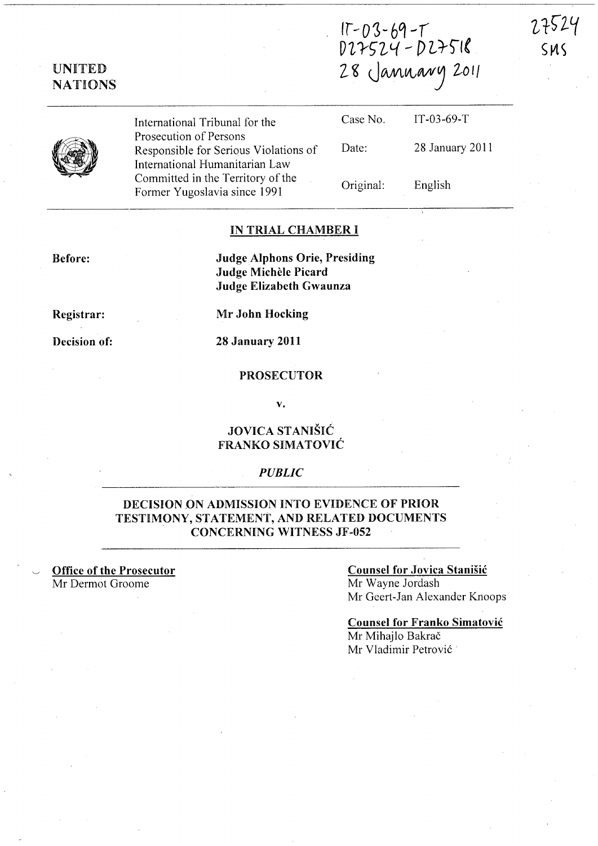# $15 - 03 - 69 - 1$ V~ *rS"7}{* - () *L})"/( l* ~ *UMU,'t,NVJ lOll*

27524

 $SMS$ 

UNITED NATIONS

International Tribunal for the Prosecution of Persons Responsible for Serious Violations of International Humanitarian Law Committed in the Territory of the Former Yugoslavia since 1991

| Case No.  | IT-03-69-T      |
|-----------|-----------------|
| Date:     | 28 January 2011 |
| Original: | English         |

#### IN TRIAL CHAMBER I

Before:

Judge Alphons Orie, Presiding Judge Michele Picard Judge Elizabeth Gwaunza

Registrar:

Decision of:

Mr John Hocking

28 January 2011

#### PROSECUTOR

v.

## JOVICA STANIŠIĆ FRANKO SIMATOVIC

### *PUBLIC*

## DECISION ON ADMISSION INTO EVIDENCE OF PRIOR TESTIMONY, STATEMENT, AND RELATED DOCUMENTS CONCERNING WITNESS JF -052

Office of the Prosecutor Mr Dermot Groome

## Counsel for Jovica Stanišić

Mr Wayne Jordash Mr Geert-Jan Alexander Knoops

#### Counsel for Franko Simatovic Mr Mihajlo Bakrač

Mr Vladimir Petrovic .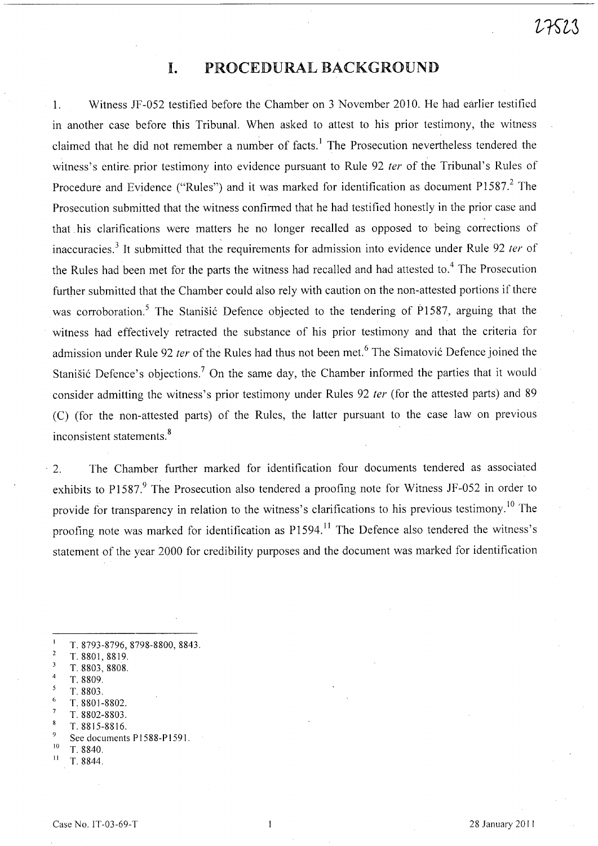# **I.** PROCEDURAL BACKGROUND

1. Witness JF-052 testified before the Chamber on 3 November 2010. He had earlier testified in another case before this Tribunal. When asked to attest to his prior testimony, the witness claimed that he did not remember a number of facts.<sup>1</sup> The Prosecution nevertheless tendered the witness's entire prior testimony into evidence pursuant to Rule 92 ter of the Tribunal's Rules of Procedure and Evidence ("Rules") and it was marked for identification as document P1587.<sup>2</sup> The Prosecution submitted that the witness confirmed that he had testified honestly in the prior case and that his clarifications were matters he no longer recalled as opposed to being corrections of inaccuracies.<sup>3</sup> It submitted that the requirements for admission into evidence under Rule 92 *ter* of the Rules had been met for the parts the witness had recalled and had attested to.<sup>4</sup> The Prosecution further submitted that the Chamber could also rely with caution on the non-attested portions if there was corroboration.<sup>5</sup> The Stanisic Defence objected to the tendering of P1587, arguing that the witness had effectively retracted the substance of his prior testimony and that the criteria for admission under Rule 92 ter of the Rules had thus not been met.<sup>6</sup> The Simatovic Defence joined the Stanišić Defence's objections.<sup>7</sup> On the same day, the Chamber informed the parties that it would consider admitting the witness's prior testimony under Rules 92 ter (for the attested parts) and 89 (C) (for the non-attested parts) of the Rules, the latter pursuant to the case law on previous inconsistent statements. 8

. 2. The Chamber further marked for identification four documents tendered as associated exhibits to P1587.<sup>9</sup> The Prosecution also tendered a proofing note for Witness JF-052 in order to provide for transparency in relation to the witness's clarifications to his previous testimony.<sup>10</sup> The proofing note was marked for identification as P1594.<sup>11</sup> The Defence also tendered the witness's statement of the year 2000 for credibility purposes and the document was marked for identification

- T. 8793-8796, 8798-8800, 8843.  $\overline{2}$ T. 8801, 8819.
- 3 T. 8803, 8808.
- T. 8809.
- T. 8803.
- T. 8801-8802.
- T. 8802-8803.
- T.8815-8816.
- See documents P1588-P1591.
- $10$  T. 8840.
- II T.8844.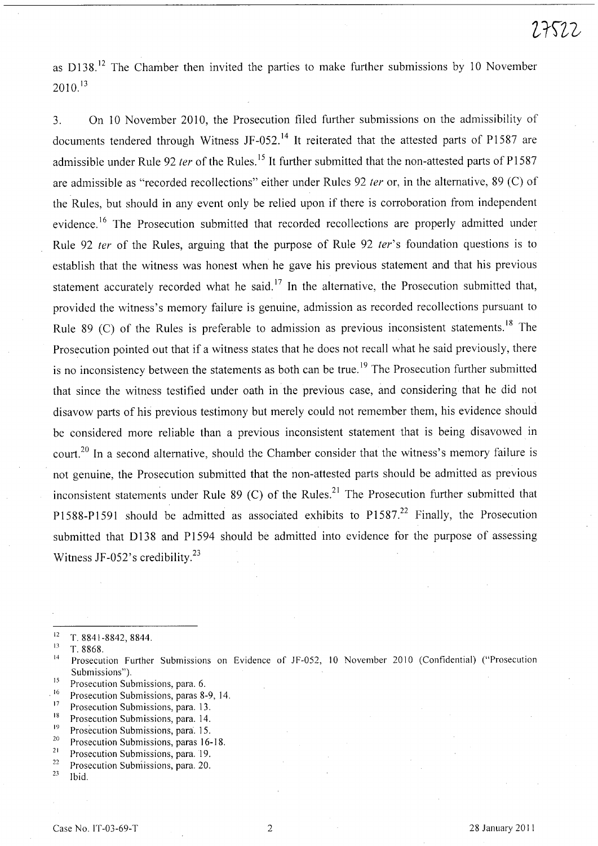as  $D138<sup>12</sup>$  The Chamber then invited the parties to make further submissions by 10 November  $2010.<sup>13</sup>$ 

3. On 10 November 2010, the Prosecution filed further submissions on the admissibility of documents tendered through Witness JF-052.<sup>14</sup> It reiterated that the attested parts of P1587 are admissible under Rule 92 ter of the Rules.<sup>15</sup> It further submitted that the non-attested parts of P1587 are admissible as "recorded recollections" either under Rules 92 fer or, in the alternative, 89 (C) of the Rules, but should in any event only be relied upon if there is corroboration from independent evidence.<sup>16</sup> The Prosecution submitted that recorded recollections are properly admitted under Rule 92 *ter* of the Rules, arguing that the purpose of Rule 92 *ter*'s foundation questions is to establish that the witness was honest when he gave his previous statement and that his previous statement accurately recorded what he said.<sup>17</sup> In the alternative, the Prosecution submitted that, provided the witness's memory failure is genuine, admission as recorded recollections pursuant to Rule 89 (C) of the Rules is preferable to admission as previous inconsistent statements.<sup>18</sup> The Prosecution pointed out that if a witness states that he does not recall what he said previously, there is no inconsistency between the statements as both can be true.<sup>19</sup> The Prosecution further submitted that since the witness testified under oath in the previous case, and considering that he did not disavow parts of his previous testimony but merely could not remember them, his evidence should be considered more reliable than a previous inconsistent statement that is being disavowed in court.<sup>20</sup> In a second alternative, should the Chamber consider that the witness's memory failure is not genuine, the Prosecution submitted that the non-attested parts should be admitted as previous inconsistent statements under Rule 89 (C) of the Rules.<sup>21</sup> The Prosecution further submitted that P1588-P1591 should be admitted as associated exhibits to P1587.<sup>22</sup> Finally, the Prosecution submitted that D138 and P1594 should be admitted into evidence for the purpose of assessing Witness JF-052's credibility. $^{23}$ 

<sup>15</sup> Prosecution Submissions, para. 6.<br> $\frac{16}{16}$  Prosecution Submissions, para. 8

- <sup>18</sup> Prosecution Submissions, para. 14.<br><sup>19</sup> Prosecution Submissions, para. 15.
- $19^{19}$  Prosecution Submissions, para. 15.<br> $20^{20}$  Prosecution Submissions, paras. 16.
- <sup>20</sup> Prosecution Submissions, paras  $16-18$ .<br><sup>21</sup> Prosecution Submissions, para 10
- <sup>21</sup> Prosecution Submissions, para. 19.<br><sup>22</sup> Prosecution Submissions, para. 20.
- <sup>22</sup> Prosecution Submissions, para. 20.<br><sup>23</sup> Lhid

Ibid.

 $12 \tT. 8841-8842, 8844.$ 

 $\frac{13}{14}$  T. 8868.

<sup>14</sup>Prosecution Further Submissions on Evidence of JF -052, 10 November 2010 (Confidential) ("Prosecution Submissions").

<sup>&</sup>lt;sup>16</sup> Prosecution Submissions, paras 8-9, 14.

 $17$  Prosecution Submissions, para. 13.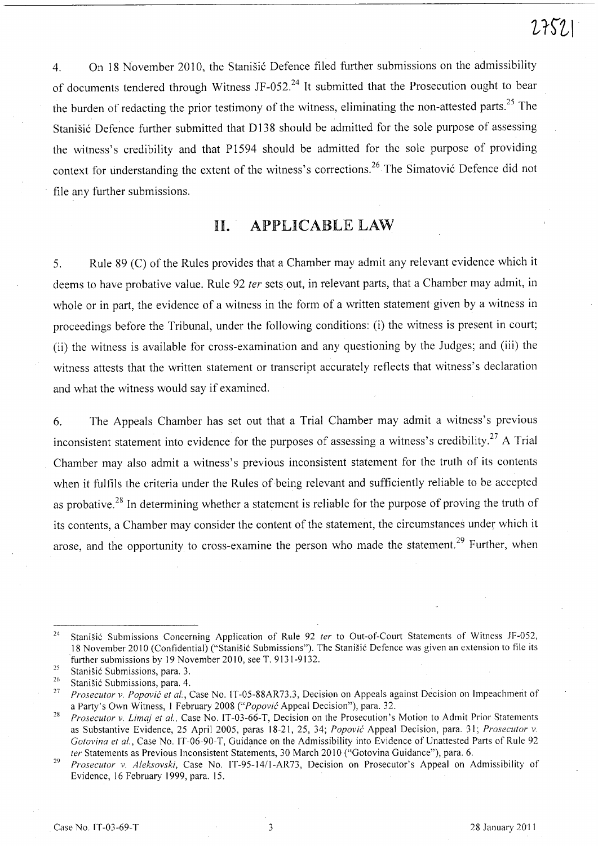4. On 18 November 2010, the Stanisic Defence filed further submissions on the admissibility of documents tendered through Witness JF-052.<sup>24</sup> It submitted that the Prosecution ought to bear the burden of redacting the prior testimony of the witness, eliminating the non-attested parts.<sup>25</sup> The Stanišić Defence further submitted that D138 should be admitted for the sole purpose of assessing the witness's credibility and that P1594 should be admitted for the sole purpose of providing context for understanding the extent of the witness's corrections.<sup>26</sup> The Simatović Defence did not file any further submissions.

# II. APPLICABLE LAW

5. Rule 89 (C) of the Rules provides that a Chamber may admit any relevant evidence which it deems to have probative value. Rule 92 ter sets out, in relevant parts, that a Chamber may admit, in whole or in part, the evidence of a witness in the form of a written statement given by a witness in proceedings before the Tribunal, under the following conditions: (i) the witness is present in court; (ii) the witness is available for cross-examination and any questioning by the Judges; and (iii) the witness attests that the written statement or transcript accurately reflects that witness's declaration and what the witness would say if examined.

6. The Appeals Chamber has set out that a Trial Chamber may admit a witness's previous inconsistent statement into evidence for the purposes of assessing a witness's credibility.<sup>27</sup> A Trial Chamber may also admit a witness's previous inconsistent statement for the truth of its contents when it fulfils the criteria under the Rules of being relevant and sufficiently reliable to be accepted as probative.<sup>28</sup> In determining whether a statement is reliable for the purpose of proving the truth of its contents, a Chamber may consider the content of the statement, the circumstances under which it arose, and the opportunity to cross-examine the person who made the statement.<sup>29</sup> Further, when

<sup>&</sup>lt;sup>24</sup> Stanišić Submissions Concerning Application of Rule 92 *ter* to Out-of-Court Statements of Witness JF-052, 18 November 2010 (Confidential) ("Stanišić Submissions"). The Stanišić Defence was given an extension to file its further submissions by 19 November 2010, see T. 9131-9132.

<sup>&</sup>lt;sup>25</sup> Stanišić Submissions, para. 3.<br><sup>26</sup> Stanišić Submissions, para. 4.

<sup>&</sup>lt;sup>26</sup> Stanišić Submissions, para. 4.<br><sup>27</sup> Processitor v. *Popović et al.* 1

Prosecutor v. Popović et al., Case No. IT-05-88AR73.3, Decision on Appeals against Decision on Impeachment of a Party's Own Witness, 1 February 2008 *("Popovi6* Appeal Decision"), para. 32.

<sup>&</sup>lt;sup>28</sup> *Prosecutor v. Limaj et al., Case No. IT-03-66-T, Decision on the Prosecution's Motion to Admit Prior Statements* as Substantive Evidence, 2S April *200S,* paras 18-21, *2S,* 34; *Popovi6* Appeal Decision, para. 31; *Prosecutor v. Gotovina et at.,* Case No. IT-06-90-T, Guidance on the Admissibility into Evidence of Unattested Parts of Rule 92 *ter* Statements as Previous Inconsistent Statements, 30 March 2010 ("Gotovina Guidance"), para. 6.

<sup>29</sup>  *Prosecutor v. Aleksovski,* Case No. IT-9S-1411-AR73, Decision on Prosecutor's Appeal on Admissibility of Evidence, 16 February 1999, para. IS.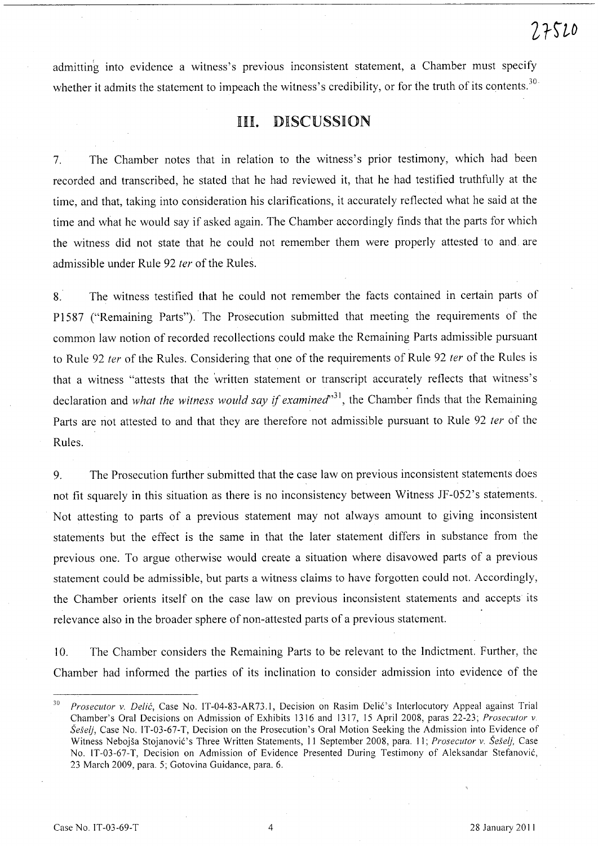admitting into evidence a witness's previous inconsistent statement, a Chamber must specify whether it admits the statement to impeach the witness's credibility, or for the truth of its contents.<sup>30</sup>

## III. DISCUSSION

7. The Chamber notes that in relation to the witness's prior testimony, which had been recorded and transcribed, he stated that he had reviewed it, that he had testified truthfully at the time, and that, taking into consideration his clarifications, it accurately reflected what he said at the time and what he would say if asked again. The Chamber accordingly finds that the parts for which the witness did not state that he could not remember them were properly attested to and are admissible under Rule 92 *ter* of the Rules.

8. The witness testified that he could not remember the facts contained in certain parts of P1587 ("Remaining Parts"). The Prosecution submitted that meeting the requirements of the common law notion of recorded recollections could make the Remaining Parts admissible pursuant to Rule 92 *ter* of the Rules. Considering that one of the requirements of Rule 92 *ter* of the Rules is that a witness "attests that the 'written statement or transcript accurately reflects that witness's declaration and *what the witness would say if examined*<sup>31</sup>, the Chamber finds that the Remaining Parts are not attested to and that they are therefore not admissible pursuant to Rule 92 *ter* of the Rules.

9. The Prosecution further submitted that the case law on previous inconsistent statements does not fit squarely in this situation as there is no inconsistency between Witness JF-052's statements. Not attesting to parts of a previous statement may not always amount to giving inconsistent statements but the effect is the same in that the later statement differs in substance from the previous one. To argue otherwise would create a situation where disavowed parts of a previous statement could be admissible, but parts a witness claims to have forgotten could not. Accordingly, the Chamber orients itself on the case law on previous inconsistent statements and accepts its relevance also in the broader sphere of non-attested parts of a previous statement.

10. The Chamber considers the Remaining Parts to be relevant to the Indictment. Further, the Chamber had informed the parties of its inclination to consider admission into evidence of the

<sup>&</sup>lt;sup>30</sup> *Prosecutor v. Delić*, Case No. IT-04-83-AR73.1, Decision on Rasim Delić's Interlocutory Appeal against Trial Chamber's Oral Decisions on Admission of Exhibits 1316 and 1317, 15 April 2008, paras 22-23; *Prosecutor* v. *Seselj,* Case No. IT-03-67-T, Decision on the Prosecution's Oral Motion Seeking the Admission into Evidence of Witness Nebojša Stojanović's Three Written Statements, 11 September 2008, para. 11; Prosecutor v. Šešelj, Case No. IT-03-67-T, Decision on Admission of Evidence Presented During Testimony of Aleksandar Stefanovic, 23 March 2009, para. 5; Gotovina Guidance, para. 6.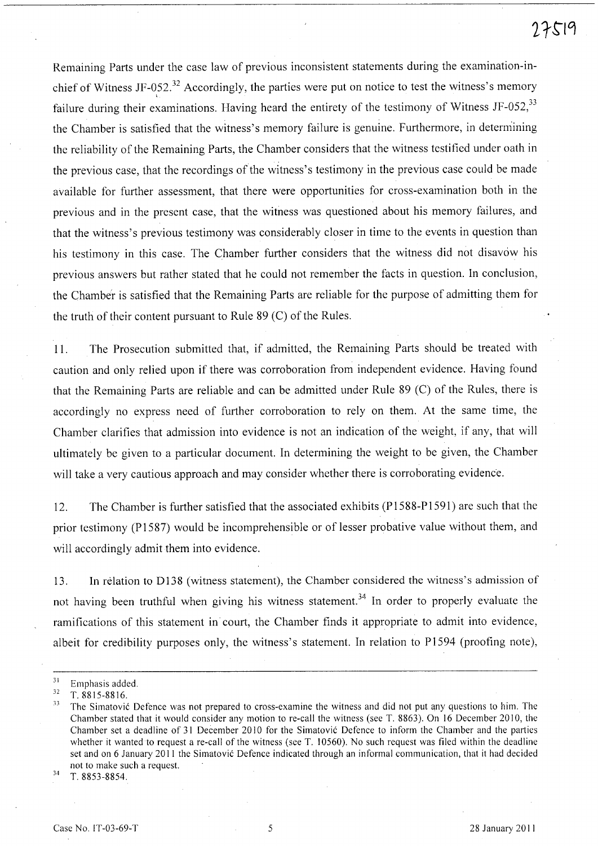Remaining Parts under the case law of previous inconsistent statements during the examination-inchief of Witness JF-052.<sup>32</sup> Accordingly, the parties were put on notice to test the witness's memory failure during their examinations. Having heard the entirety of the testimony of Witness JF-052,<sup>33</sup> the Chamber is satisfied that the witness's memory failure is genuine. Furthermore, in determining the reliability of the Remaining Parts, the Chamber considers that the witness testified under oath in the previous case, that the recordings of the witness's testimony in the previous case could be made available for further assessment, that there were opportunities for cross-examination both in the previous and in the present case, that the witness was questioned about his memory failures, and that the witness's previous testimony was considerably closer in time to the events in question than his testimony in this case. The Chamber further considers that the witness did not disavow his previous answers but rather stated that he could not remember the facts in question. In conclusion, the Chamber is satisfied that the Remaining Parts are reliable for the purpose of admitting them for the truth of their content pursuant to Rule 89 (C) of the Rules.

11. The Prosecution submitted that, if admitted, the Remaining Parts should be treated with caution and only relied upon if there was corroboration from independent evidence. Having found that the Remaining Parts are reliable and can be admitted under Rule 89 (C) of the Rules, there is accordingly no express need of further corroboration to rely on them. At the same time, the Chamber clarifies that admission into evidence is not an indication of the weight, if any, that will ultimately be given to a particular document. In determining the weight to be given, the Chamber will take a very cautious approach and may consider whether there is corroborating evidence.

12. The Chamber is further satisfied that the associated exhibits (PI588-PI591) are such that the prior testimony (PI587) would be incomprehensible or of lesser probative value without them, and will accordingly admit them into evidence.

13. In relation to D138 (witness statement), the Chamber considered the witness's admission of not having been truthful when giving his witness statement.<sup>34</sup> In order to properly evaluate the ramifications of this statement in court, the Chamber finds it appropriate to admit into evidence, albeit for credibility purposes only, the witness's statement. In relation to P1594 (proofing note),

34 T. 8853-8854.

 $rac{31}{32}$  Emphasis added.

<sup>32</sup> T.8815-8816.

<sup>&</sup>lt;sup>33</sup> The Simatović Defence was not prepared to cross-examine the witness and did not put any questions to him. The Chamber stated that it would consider any motion to re-call the witness (see T. 8863). On 16 December 2010, the Chamber set a deadline of 31 December 2010 for the Simatović Defence to inform the Chamber and the parties whether it wanted to request a re-call of the witness (see T. 10560). No such request was filed within the deadline set and on 6 January 2011 the Simatovic Defence indicated through an informal communication, that it had decided not to make such a request.